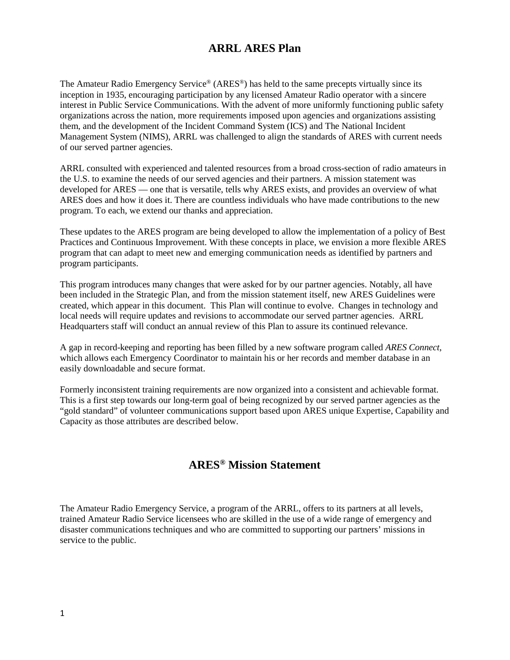## **ARRL ARES Plan**

The Amateur Radio Emergency Service® (ARES®) has held to the same precepts virtually since its inception in 1935, encouraging participation by any licensed Amateur Radio operator with a sincere interest in Public Service Communications. With the advent of more uniformly functioning public safety organizations across the nation, more requirements imposed upon agencies and organizations assisting them, and the development of the Incident Command System (ICS) and The National Incident Management System (NIMS), ARRL was challenged to align the standards of ARES with current needs of our served partner agencies.

ARRL consulted with experienced and talented resources from a broad cross-section of radio amateurs in the U.S. to examine the needs of our served agencies and their partners. A mission statement was developed for ARES — one that is versatile, tells why ARES exists, and provides an overview of what ARES does and how it does it. There are countless individuals who have made contributions to the new program. To each, we extend our thanks and appreciation.

These updates to the ARES program are being developed to allow the implementation of a policy of Best Practices and Continuous Improvement. With these concepts in place, we envision a more flexible ARES program that can adapt to meet new and emerging communication needs as identified by partners and program participants.

This program introduces many changes that were asked for by our partner agencies. Notably, all have been included in the Strategic Plan, and from the mission statement itself, new ARES Guidelines were created, which appear in this document. This Plan will continue to evolve. Changes in technology and local needs will require updates and revisions to accommodate our served partner agencies. ARRL Headquarters staff will conduct an annual review of this Plan to assure its continued relevance.

A gap in record-keeping and reporting has been filled by a new software program called *ARES Connect*, which allows each Emergency Coordinator to maintain his or her records and member database in an easily downloadable and secure format.

Formerly inconsistent training requirements are now organized into a consistent and achievable format. This is a first step towards our long-term goal of being recognized by our served partner agencies as the "gold standard" of volunteer communications support based upon ARES unique Expertise, Capability and Capacity as those attributes are described below.

# **ARES® Mission Statement**

The Amateur Radio Emergency Service, a program of the ARRL, offers to its partners at all levels, trained Amateur Radio Service licensees who are skilled in the use of a wide range of emergency and disaster communications techniques and who are committed to supporting our partners' missions in service to the public.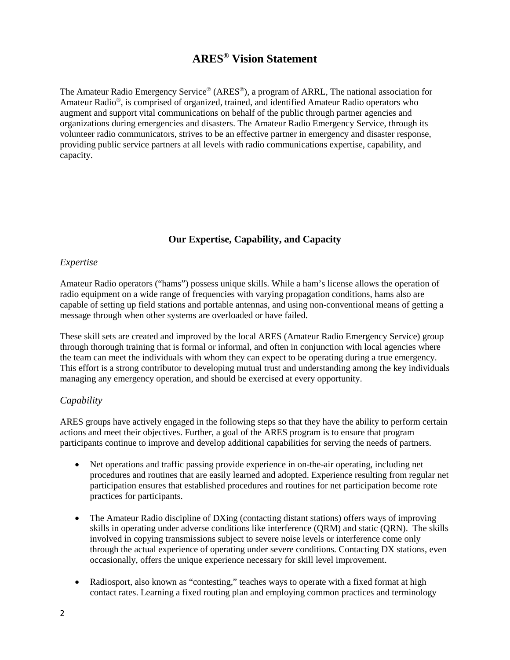## **ARES® Vision Statement**

The Amateur Radio Emergency Service® (ARES®), a program of ARRL, The national association for Amateur Radio®, is comprised of organized, trained, and identified Amateur Radio operators who augment and support vital communications on behalf of the public through partner agencies and organizations during emergencies and disasters. The Amateur Radio Emergency Service, through its volunteer radio communicators, strives to be an effective partner in emergency and disaster response, providing public service partners at all levels with radio communications expertise, capability, and capacity.

## **Our Expertise, Capability, and Capacity**

### *Expertise*

Amateur Radio operators ("hams") possess unique skills. While a ham's license allows the operation of radio equipment on a wide range of frequencies with varying propagation conditions, hams also are capable of setting up field stations and portable antennas, and using non-conventional means of getting a message through when other systems are overloaded or have failed.

These skill sets are created and improved by the local ARES (Amateur Radio Emergency Service) group through thorough training that is formal or informal, and often in conjunction with local agencies where the team can meet the individuals with whom they can expect to be operating during a true emergency. This effort is a strong contributor to developing mutual trust and understanding among the key individuals managing any emergency operation, and should be exercised at every opportunity.

### *Capability*

ARES groups have actively engaged in the following steps so that they have the ability to perform certain actions and meet their objectives. Further, a goal of the ARES program is to ensure that program participants continue to improve and develop additional capabilities for serving the needs of partners.

- Net operations and traffic passing provide experience in on-the-air operating, including net procedures and routines that are easily learned and adopted. Experience resulting from regular net participation ensures that established procedures and routines for net participation become rote practices for participants.
- The Amateur Radio discipline of DXing (contacting distant stations) offers ways of improving skills in operating under adverse conditions like interference (QRM) and static (QRN). The skills involved in copying transmissions subject to severe noise levels or interference come only through the actual experience of operating under severe conditions. Contacting DX stations, even occasionally, offers the unique experience necessary for skill level improvement.
- Radiosport, also known as "contesting," teaches ways to operate with a fixed format at high contact rates. Learning a fixed routing plan and employing common practices and terminology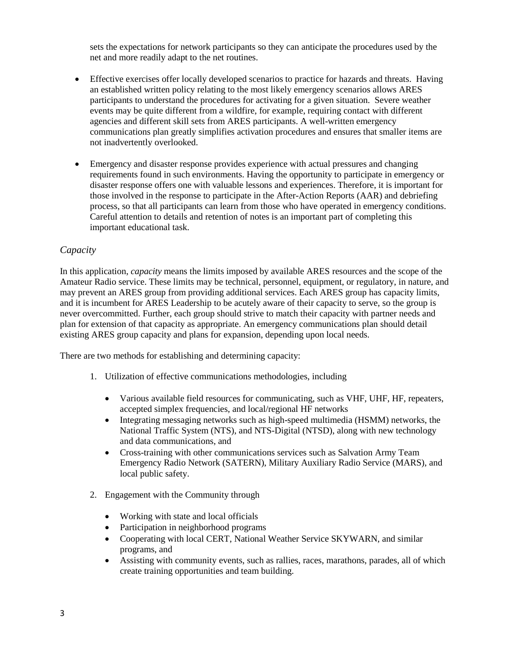sets the expectations for network participants so they can anticipate the procedures used by the net and more readily adapt to the net routines.

- Effective exercises offer locally developed scenarios to practice for hazards and threats. Having an established written policy relating to the most likely emergency scenarios allows ARES participants to understand the procedures for activating for a given situation. Severe weather events may be quite different from a wildfire, for example, requiring contact with different agencies and different skill sets from ARES participants. A well-written emergency communications plan greatly simplifies activation procedures and ensures that smaller items are not inadvertently overlooked.
- Emergency and disaster response provides experience with actual pressures and changing requirements found in such environments. Having the opportunity to participate in emergency or disaster response offers one with valuable lessons and experiences. Therefore, it is important for those involved in the response to participate in the After-Action Reports (AAR) and debriefing process, so that all participants can learn from those who have operated in emergency conditions. Careful attention to details and retention of notes is an important part of completing this important educational task.

#### *Capacity*

In this application, *capacity* means the limits imposed by available ARES resources and the scope of the Amateur Radio service. These limits may be technical, personnel, equipment, or regulatory, in nature, and may prevent an ARES group from providing additional services. Each ARES group has capacity limits, and it is incumbent for ARES Leadership to be acutely aware of their capacity to serve, so the group is never overcommitted. Further, each group should strive to match their capacity with partner needs and plan for extension of that capacity as appropriate. An emergency communications plan should detail existing ARES group capacity and plans for expansion, depending upon local needs.

There are two methods for establishing and determining capacity:

- 1. Utilization of effective communications methodologies, including
	- Various available field resources for communicating, such as VHF, UHF, HF, repeaters, accepted simplex frequencies, and local/regional HF networks
	- Integrating messaging networks such as high-speed multimedia (HSMM) networks, the National Traffic System (NTS), and NTS-Digital (NTSD), along with new technology and data communications, and
	- Cross-training with other communications services such as Salvation Army Team Emergency Radio Network (SATERN), Military Auxiliary Radio Service (MARS), and local public safety.
- 2. Engagement with the Community through
	- Working with state and local officials
	- Participation in neighborhood programs
	- Cooperating with local CERT, National Weather Service SKYWARN, and similar programs, and
	- Assisting with community events, such as rallies, races, marathons, parades, all of which create training opportunities and team building.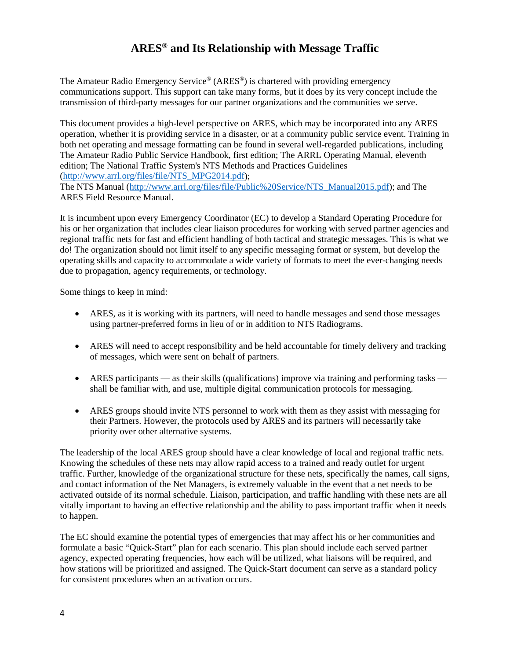# **ARES® and Its Relationship with Message Traffic**

The Amateur Radio Emergency Service® (ARES®) is chartered with providing emergency communications support. This support can take many forms, but it does by its very concept include the transmission of third-party messages for our partner organizations and the communities we serve.

This document provides a high-level perspective on ARES, which may be incorporated into any ARES operation, whether it is providing service in a disaster, or at a community public service event. Training in both net operating and message formatting can be found in several well-regarded publications, including The Amateur Radio Public Service Handbook, first edition; The ARRL Operating Manual, eleventh edition; The National Traffic System's NTS Methods and Practices Guidelines [\(http://www.arrl.org/files/file/NTS\\_MPG2014.pdf\)](http://www.arrl.org/files/file/NTS_MPG2014.pdf);

The NTS Manual [\(http://www.arrl.org/files/file/Public%20Service/NTS\\_Manual2015.pdf\)](http://www.arrl.org/files/file/Public%20Service/NTS_Manual2015.pdf); and The ARES Field Resource Manual.

It is incumbent upon every Emergency Coordinator (EC) to develop a Standard Operating Procedure for his or her organization that includes clear liaison procedures for working with served partner agencies and regional traffic nets for fast and efficient handling of both tactical and strategic messages. This is what we do! The organization should not limit itself to any specific messaging format or system, but develop the operating skills and capacity to accommodate a wide variety of formats to meet the ever-changing needs due to propagation, agency requirements, or technology.

Some things to keep in mind:

- ARES, as it is working with its partners, will need to handle messages and send those messages using partner-preferred forms in lieu of or in addition to NTS Radiograms.
- ARES will need to accept responsibility and be held accountable for timely delivery and tracking of messages, which were sent on behalf of partners.
- ARES participants as their skills (qualifications) improve via training and performing tasks shall be familiar with, and use, multiple digital communication protocols for messaging.
- ARES groups should invite NTS personnel to work with them as they assist with messaging for their Partners. However, the protocols used by ARES and its partners will necessarily take priority over other alternative systems.

The leadership of the local ARES group should have a clear knowledge of local and regional traffic nets. Knowing the schedules of these nets may allow rapid access to a trained and ready outlet for urgent traffic. Further, knowledge of the organizational structure for these nets, specifically the names, call signs, and contact information of the Net Managers, is extremely valuable in the event that a net needs to be activated outside of its normal schedule. Liaison, participation, and traffic handling with these nets are all vitally important to having an effective relationship and the ability to pass important traffic when it needs to happen.

The EC should examine the potential types of emergencies that may affect his or her communities and formulate a basic "Quick-Start" plan for each scenario. This plan should include each served partner agency, expected operating frequencies, how each will be utilized, what liaisons will be required, and how stations will be prioritized and assigned. The Quick-Start document can serve as a standard policy for consistent procedures when an activation occurs.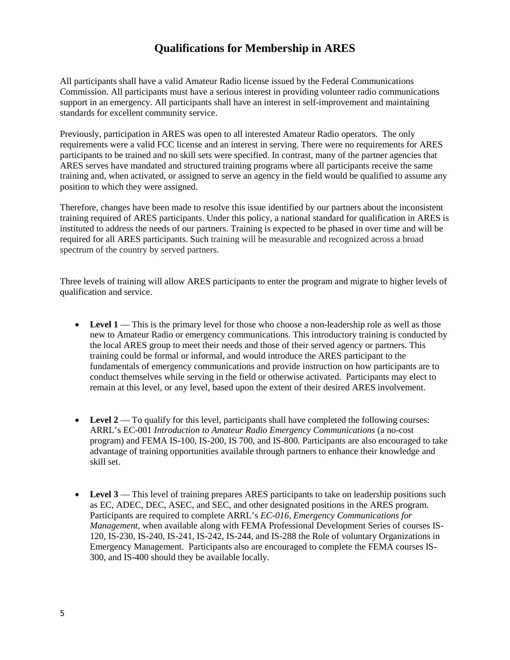## **Qualifications for Membership in ARES**

All participants shall have a valid Amateur Radio license issued by the Federal Communications Commission. All participants must have a serious interest in providing volunteer radio communications support in an emergency. All participants shall have an interest in self-improvement and maintaining standards for excellent community service.

Previously, participation in ARES was open to all interested Amateur Radio operators. The only requirements were a valid FCC license and an interest in serving. There were no requirements for ARES participants to be trained and no skill sets were specified. In contrast, many of the partner agencies that ARES serves have mandated and structured training programs where all participants receive the same training and, when activated, or assigned to serve an agency in the field would be qualified to assume any position to which they were assigned.

Therefore, changes have been made to resolve this issue identified by our partners about the inconsistent training required of ARES participants. Under this policy, a national standard for qualification in ARES is instituted to address the needs of our partners. Training is expected to be phased in over time and will be required for all ARES participants. Such training will be measurable and recognized across a broad spectrum of the country by served partners.

Three levels of training will allow ARES participants to enter the program and migrate to higher levels of qualification and service.

- Level 1 This is the primary level for those who choose a non-leadership role as well as those new to Amateur Radio or emergency communications. This introductory training is conducted by the local ARES group to meet their needs and those of their served agency or partners. This training could be formal or informal, and would introduce the ARES participant to the fundamentals of emergency communications and provide instruction on how participants are to conduct themselves while serving in the field or otherwise activated. Participants may elect to remain at this level, or any level, based upon the extent of their desired ARES involvement.
- Level 2 To qualify for this level, participants shall have completed the following courses: ARRL's EC-001 *Introduction to Amateur Radio Emergency Communications* (a no-cost program) and FEMA IS-100, IS-200, IS 700, and IS-800. Participants are also encouraged to take advantage of training opportunities available through partners to enhance their knowledge and skill set.
- Level 3 This level of training prepares ARES participants to take on leadership positions such as EC, ADEC, DEC, ASEC, and SEC, and other designated positions in the ARES program. Participants are required to complete ARRL's *EC-016, Emergency Communications for Management*, when available along with FEMA Professional Development Series of courses IS-120, IS-230, IS-240, IS-241, IS-242, IS-244, and IS-288 the Role of voluntary Organizations in Emergency Management. Participants also are encouraged to complete the FEMA courses IS-300, and IS-400 should they be available locally.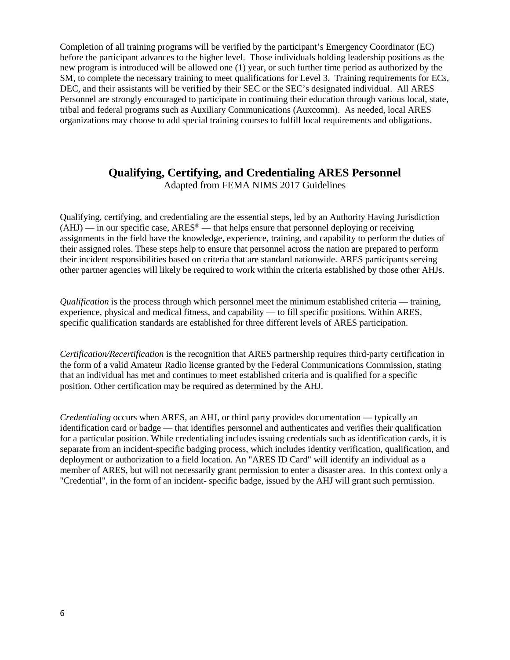Completion of all training programs will be verified by the participant's Emergency Coordinator (EC) before the participant advances to the higher level. Those individuals holding leadership positions as the new program is introduced will be allowed one (1) year, or such further time period as authorized by the SM, to complete the necessary training to meet qualifications for Level 3. Training requirements for ECs, DEC, and their assistants will be verified by their SEC or the SEC's designated individual. All ARES Personnel are strongly encouraged to participate in continuing their education through various local, state, tribal and federal programs such as Auxiliary Communications (Auxcomm). As needed, local ARES organizations may choose to add special training courses to fulfill local requirements and obligations.

## **Qualifying, Certifying, and Credentialing ARES Personnel**

Adapted from FEMA NIMS 2017 Guidelines

Qualifying, certifying, and credentialing are the essential steps, led by an Authority Having Jurisdiction  $(AHJ)$  — in our specific case,  $ARES^{\circledast}$  — that helps ensure that personnel deploying or receiving assignments in the field have the knowledge, experience, training, and capability to perform the duties of their assigned roles. These steps help to ensure that personnel across the nation are prepared to perform their incident responsibilities based on criteria that are standard nationwide. ARES participants serving other partner agencies will likely be required to work within the criteria established by those other AHJs.

*Qualification* is the process through which personnel meet the minimum established criteria — training, experience, physical and medical fitness, and capability — to fill specific positions. Within ARES, specific qualification standards are established for three different levels of ARES participation.

*Certification/Recertification* is the recognition that ARES partnership requires third-party certification in the form of a valid Amateur Radio license granted by the Federal Communications Commission, stating that an individual has met and continues to meet established criteria and is qualified for a specific position. Other certification may be required as determined by the AHJ.

*Credentialing* occurs when ARES, an AHJ, or third party provides documentation — typically an identification card or badge — that identifies personnel and authenticates and verifies their qualification for a particular position. While credentialing includes issuing credentials such as identification cards, it is separate from an incident-specific badging process, which includes identity verification, qualification, and deployment or authorization to a field location. An "ARES ID Card" will identify an individual as a member of ARES, but will not necessarily grant permission to enter a disaster area. In this context only a "Credential", in the form of an incident- specific badge, issued by the AHJ will grant such permission.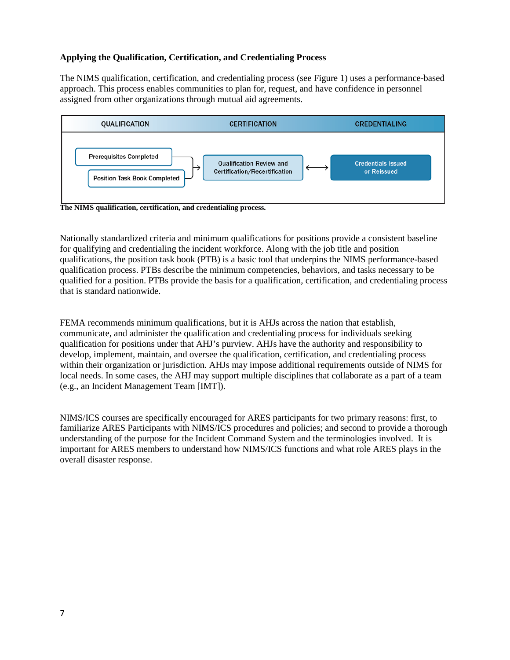#### **Applying the Qualification, Certification, and Credentialing Process**

The NIMS qualification, certification, and credentialing process (see Figure 1) uses a performance-based approach. This process enables communities to plan for, request, and have confidence in personnel assigned from other organizations through mutual aid agreements.



Nationally standardized criteria and minimum qualifications for positions provide a consistent baseline for qualifying and credentialing the incident workforce. Along with the job title and position qualifications, the position task book (PTB) is a basic tool that underpins the NIMS performance-based qualification process. PTBs describe the minimum competencies, behaviors, and tasks necessary to be qualified for a position. PTBs provide the basis for a qualification, certification, and credentialing process that is standard nationwide.

FEMA recommends minimum qualifications, but it is AHJs across the nation that establish, communicate, and administer the qualification and credentialing process for individuals seeking qualification for positions under that AHJ's purview. AHJs have the authority and responsibility to develop, implement, maintain, and oversee the qualification, certification, and credentialing process within their organization or jurisdiction. AHJs may impose additional requirements outside of NIMS for local needs. In some cases, the AHJ may support multiple disciplines that collaborate as a part of a team (e.g., an Incident Management Team [IMT]).

NIMS/ICS courses are specifically encouraged for ARES participants for two primary reasons: first, to familiarize ARES Participants with NIMS/ICS procedures and policies; and second to provide a thorough understanding of the purpose for the Incident Command System and the terminologies involved. It is important for ARES members to understand how NIMS/ICS functions and what role ARES plays in the overall disaster response.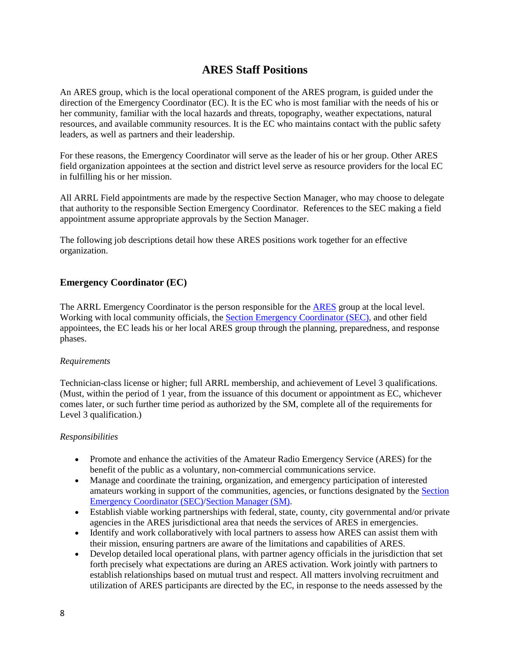## **ARES Staff Positions**

An ARES group, which is the local operational component of the ARES program, is guided under the direction of the Emergency Coordinator (EC). It is the EC who is most familiar with the needs of his or her community, familiar with the local hazards and threats, topography, weather expectations, natural resources, and available community resources. It is the EC who maintains contact with the public safety leaders, as well as partners and their leadership.

For these reasons, the Emergency Coordinator will serve as the leader of his or her group. Other ARES field organization appointees at the section and district level serve as resource providers for the local EC in fulfilling his or her mission.

All ARRL Field appointments are made by the respective Section Manager, who may choose to delegate that authority to the responsible Section Emergency Coordinator. References to the SEC making a field appointment assume appropriate approvals by the Section Manager.

The following job descriptions detail how these ARES positions work together for an effective organization.

## **Emergency Coordinator (EC)**

The ARRL Emergency Coordinator is the person responsible for the **ARES** group at the local level. Working with local community officials, the [Section Emergency Coordinator](http://www.arrl.org/section-emergency-coordinator) (SEC), and other field appointees, the EC leads his or her local ARES group through the planning, preparedness, and response phases.

#### *Requirements*

Technician-class license or higher; full ARRL membership, and achievement of Level 3 qualifications. (Must, within the period of 1 year, from the issuance of this document or appointment as EC, whichever comes later, or such further time period as authorized by the SM, complete all of the requirements for Level 3 qualification.)

### *Responsibilities*

- Promote and enhance the activities of the Amateur Radio Emergency Service (ARES) for the benefit of the public as a voluntary, non-commercial communications service.
- Manage and coordinate the training, organization, and emergency participation of interested amateurs working in support of the communities, agencies, or functions designated by the [Section](http://www.arrl.org/section-emergency-coordinator)  [Emergency Coordinator](http://www.arrl.org/section-emergency-coordinator) (SEC)[/Section Manager](http://www.arrl.org/section-manager) (SM).
- Establish viable working partnerships with federal, state, county, city governmental and/or private agencies in the ARES jurisdictional area that needs the services of ARES in emergencies.
- Identify and work collaboratively with local partners to assess how ARES can assist them with their mission, ensuring partners are aware of the limitations and capabilities of ARES.
- Develop detailed local operational plans, with partner agency officials in the jurisdiction that set forth precisely what expectations are during an ARES activation. Work jointly with partners to establish relationships based on mutual trust and respect. All matters involving recruitment and utilization of ARES participants are directed by the EC, in response to the needs assessed by the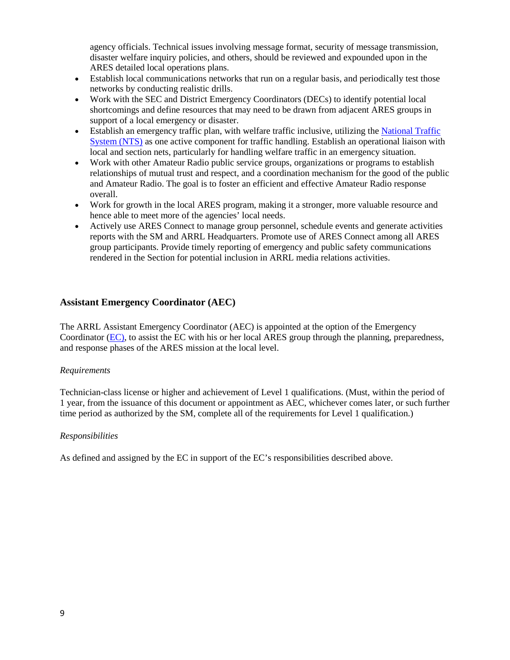agency officials. Technical issues involving message format, security of message transmission, disaster welfare inquiry policies, and others, should be reviewed and expounded upon in the ARES detailed local operations plans.

- Establish local communications networks that run on a regular basis, and periodically test those networks by conducting realistic drills.
- Work with the SEC and District Emergency Coordinators (DECs) to identify potential local shortcomings and define resources that may need to be drawn from adjacent ARES groups in support of a local emergency or disaster.
- Establish an emergency traffic plan, with welfare traffic inclusive, utilizing th[e National Traffic](http://www.arrl.org/nts-manual)  [System](http://www.arrl.org/nts-manual) (NTS) as one active component for traffic handling. Establish an operational liaison with local and section nets, particularly for handling welfare traffic in an emergency situation.
- Work with other Amateur Radio public service groups, organizations or programs to establish relationships of mutual trust and respect, and a coordination mechanism for the good of the public and Amateur Radio. The goal is to foster an efficient and effective Amateur Radio response overall.
- Work for growth in the local ARES program, making it a stronger, more valuable resource and hence able to meet more of the agencies' local needs.
- Actively use ARES Connect to manage group personnel, schedule events and generate activities reports with the SM and ARRL Headquarters. Promote use of ARES Connect among all ARES group participants. Provide timely reporting of emergency and public safety communications rendered in the Section for potential inclusion in ARRL media relations activities.

## **Assistant Emergency Coordinator (AEC)**

The ARRL Assistant Emergency Coordinator (AEC) is appointed at the option of the Emergency Coordinator (EC), to assist the EC with his or her local ARES group through the planning, preparedness, and response phases of the ARES mission at the local level.

#### *Requirements*

Technician-class license or higher and achievement of Level 1 qualifications. (Must, within the period of 1 year, from the issuance of this document or appointment as AEC, whichever comes later, or such further time period as authorized by the SM, complete all of the requirements for Level 1 qualification.)

#### *Responsibilities*

As defined and assigned by the EC in support of the EC's responsibilities described above.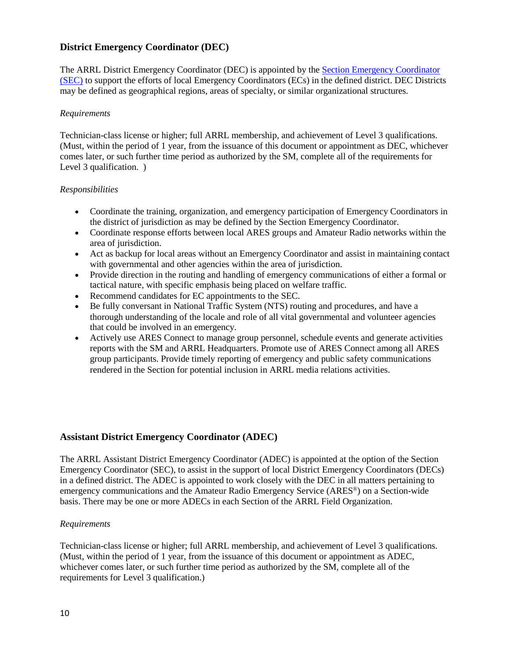### **District Emergency Coordinator (DEC)**

The ARRL District Emergency Coordinator (DEC) is appointed by the **Section Emergency Coordinator** (SEC) to support the efforts of local Emergency Coordinators (ECs) in the defined district. DEC Districts may be defined as geographical regions, areas of specialty, or similar organizational structures.

#### *Requirements*

Technician-class license or higher; full ARRL membership, and achievement of Level 3 qualifications. (Must, within the period of 1 year, from the issuance of this document or appointment as DEC, whichever comes later, or such further time period as authorized by the SM, complete all of the requirements for Level 3 qualification. )

#### *Responsibilities*

- Coordinate the training, organization, and emergency participation of Emergency Coordinators in the district of jurisdiction as may be defined by the Section Emergency Coordinator.
- Coordinate response efforts between local ARES groups and Amateur Radio networks within the area of jurisdiction.
- Act as backup for local areas without an Emergency Coordinator and assist in maintaining contact with governmental and other agencies within the area of jurisdiction.
- Provide direction in the routing and handling of emergency communications of either a formal or tactical nature, with specific emphasis being placed on welfare traffic.
- Recommend candidates for EC appointments to the SEC.
- Be fully conversant in National Traffic System (NTS) routing and procedures, and have a thorough understanding of the locale and role of all vital governmental and volunteer agencies that could be involved in an emergency.
- Actively use ARES Connect to manage group personnel, schedule events and generate activities reports with the SM and ARRL Headquarters. Promote use of ARES Connect among all ARES group participants. Provide timely reporting of emergency and public safety communications rendered in the Section for potential inclusion in ARRL media relations activities.

#### **Assistant District Emergency Coordinator (ADEC)**

The ARRL Assistant District Emergency Coordinator (ADEC) is appointed at the option of the Section Emergency Coordinator (SEC), to assist in the support of local District Emergency Coordinators (DECs) in a defined district. The ADEC is appointed to work closely with the DEC in all matters pertaining to emergency communications and the Amateur Radio Emergency Service (ARES®) on a Section-wide basis. There may be one or more ADECs in each Section of the ARRL Field Organization.

#### *Requirements*

Technician-class license or higher; full ARRL membership, and achievement of Level 3 qualifications. (Must, within the period of 1 year, from the issuance of this document or appointment as ADEC, whichever comes later, or such further time period as authorized by the SM, complete all of the requirements for Level 3 qualification.)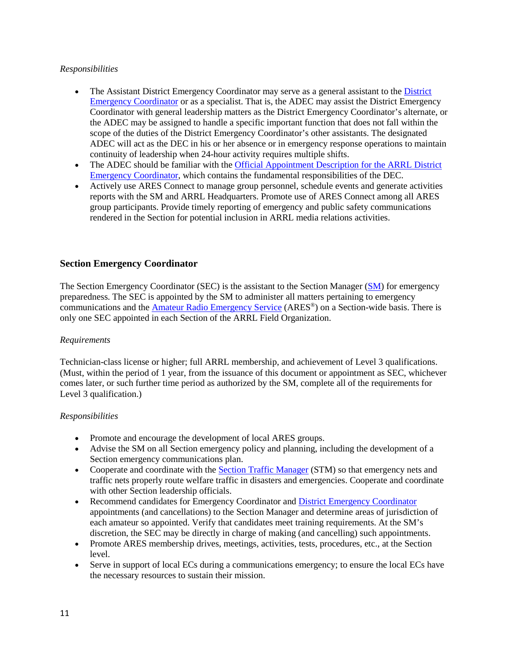### *Responsibilities*

- The Assistant [District](http://www.arrl.org/district-emergency-coordinator) Emergency Coordinator may serve as a general assistant to the District [Emergency Coordinator](http://www.arrl.org/district-emergency-coordinator) or as a specialist. That is, the ADEC may assist the District Emergency Coordinator with general leadership matters as the District Emergency Coordinator's alternate, or the ADEC may be assigned to handle a specific important function that does not fall within the scope of the duties of the District Emergency Coordinator's other assistants. The designated ADEC will act as the DEC in his or her absence or in emergency response operations to maintain continuity of leadership when 24-hour activity requires multiple shifts.
- The ADEC should be familiar with the Official Appointment Description for the ARRL District [Emergency Coordinator,](http://www.arrl.org/district-emergency-coordinator) which contains the fundamental responsibilities of the DEC.
- Actively use ARES Connect to manage group personnel, schedule events and generate activities reports with the SM and ARRL Headquarters. Promote use of ARES Connect among all ARES group participants. Provide timely reporting of emergency and public safety communications rendered in the Section for potential inclusion in ARRL media relations activities.

#### **Section Emergency Coordinator**

The Section Emergency Coordinator (SEC) is the assistant to the Section Manager [\(SM\)](http://www.arrl.org/section-manager) for emergency preparedness. The SEC is appointed by the SM to administer all matters pertaining to emergency communications and the [Amateur Radio Emergency Service](http://www.arrl.org/ares) (ARES®) on a Section-wide basis. There is only one SEC appointed in each Section of the ARRL Field Organization.

#### *Requirements*

Technician-class license or higher; full ARRL membership, and achievement of Level 3 qualifications. (Must, within the period of 1 year, from the issuance of this document or appointment as SEC, whichever comes later, or such further time period as authorized by the SM, complete all of the requirements for Level 3 qualification.)

#### *Responsibilities*

- Promote and encourage the development of local ARES groups.
- Advise the SM on all Section emergency policy and planning, including the development of a Section emergency communications plan.
- Cooperate and coordinate with the [Section Traffic Manager](http://www.arrl.org/section-traffic-manager) (STM) so that emergency nets and traffic nets properly route welfare traffic in disasters and emergencies. Cooperate and coordinate with other Section leadership officials.
- Recommend candidates for Emergency Coordinator and [District Emergency Coordinator](http://www.arrl.org/district-emergency-coordinator) appointments (and cancellations) to the Section Manager and determine areas of jurisdiction of each amateur so appointed. Verify that candidates meet training requirements. At the SM's discretion, the SEC may be directly in charge of making (and cancelling) such appointments.
- Promote ARES membership drives, meetings, activities, tests, procedures, etc., at the Section level.
- Serve in support of local ECs during a communications emergency; to ensure the local ECs have the necessary resources to sustain their mission.